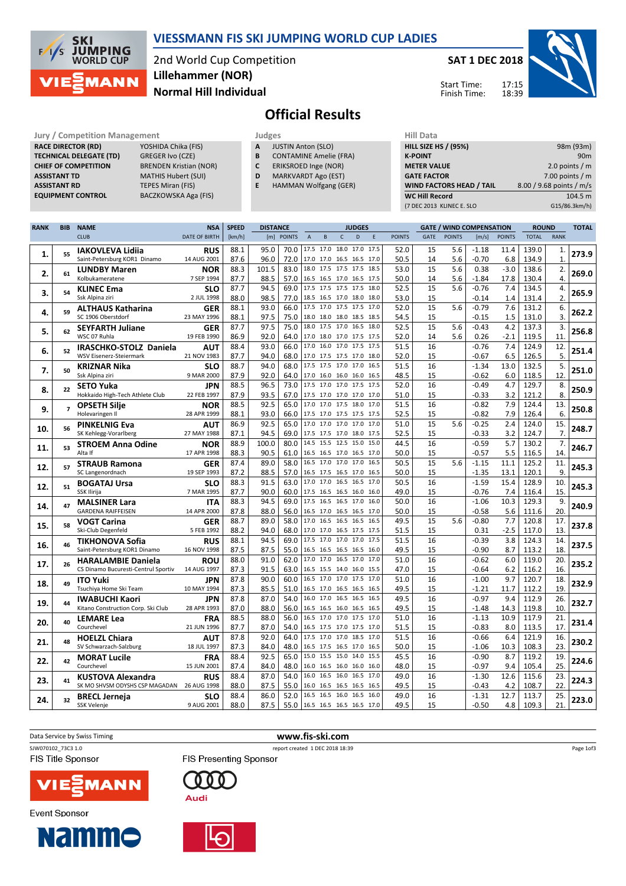

### VIESSMANN FIS SKI JUMPING WORLD CUP LADIES

2nd World Cup Competition Normal Hill Individual Lillehammer (NOR)

SAT 1 DEC 2018

Start Time: Finish Time:



# Official Results

Jury / Competition Management<br> **RACE DIRECTOR (RD)** YOSHIDA Chika (FIS) **A JUSTIN Anton (SLO)** HILL SIZE HILL SIZE RACE DIRECTOR (RD) CHIEF OF COMPETITION ASSISTANT TD MATHIS Hubert (SUI) **ASSISTANT RD** TEPES Miran (FIS)<br> **EQUIPMENT CONTROL** BACZKOWSKA Aga

**TECHNICAL DELEGATE (TD)** GREGER Ivo (CZE)<br> **CHIEF OF COMPETITION** BRENDEN Kristian (NOR) BACZKOWSKA Aga (FIS)

| Judges |                           |  |
|--------|---------------------------|--|
| А      | <b>JUSTIN Anton (SLO)</b> |  |

- **B** CONTAMINE Amelie (FRA)<br>**C** ERIKSROED Inge (NOR)
- ERIKSROED Inge (NOR)
- D MARKVARDT Ago (EST)
- E HAMMAN Wolfgang (GER)

| (7 DEC 2013 KLINEC E. SLO       | G15/86.3km/h)            |
|---------------------------------|--------------------------|
| <b>WC Hill Record</b>           | 104.5 m                  |
| <b>WIND FACTORS HEAD / TAIL</b> | 8.00 / 9.68 points / m/s |
| <b>GATE FACTOR</b>              | 7.00 points $/m$         |
| <b>METER VALUE</b>              | 2.0 points $/m$          |
| <b>K-POINT</b>                  | 90 <sub>m</sub>          |
| <b>HILL SIZE HS / (95%)</b>     | 98m (93m)                |
| nii Data                        |                          |

| <b>RANK</b> | <b>BIB</b>     | <b>NAME</b>                                                      | <b>NSA</b>                | <b>SPEED</b> | <b>DISTANCE</b><br><b>JUDGES</b> |            |             |                |                          |      | <b>GATE / WIND COMPENSATION</b> |               |          | <b>ROUND</b>  |                    | <b>TOTAL</b>  |                |              |       |
|-------------|----------------|------------------------------------------------------------------|---------------------------|--------------|----------------------------------|------------|-------------|----------------|--------------------------|------|---------------------------------|---------------|----------|---------------|--------------------|---------------|----------------|--------------|-------|
|             |                | <b>CLUB</b>                                                      | <b>DATE OF BIRTH</b>      | [km/h]       |                                  | [m] POINTS | $\mathsf A$ | $\sf{B}$       | $\mathsf{C}$             | D    | E                               | <b>POINTS</b> | GATE     | <b>POINTS</b> | [m/s]              | <b>POINTS</b> | <b>TOTAL</b>   | <b>RANK</b>  |       |
|             |                | <b>IAKOVLEVA Lidija</b>                                          | <b>RUS</b>                | 88.1         | 95.0                             | 70.0       |             |                | 17.5 17.0 18.0 17.0      |      | 17.5                            | 52.0          | 15       | 5.6           | $-1.18$            | 11.4          | 139.0          | 1.           |       |
| 1.          | 55             | Saint-Petersburg KOR1 Dinamo                                     | 14 AUG 2001               | 87.6         | 96.0                             | 72.0       |             |                | 17.0 17.0 16.5 16.5 17.0 |      |                                 | 50.5          | 14       | 5.6           | $-0.70$            | 6.8           | 134.9          | $\mathbf{1}$ | 273.9 |
|             |                |                                                                  |                           | 88.3         | 101.5                            | 83.0       |             |                | 18.0 17.5 17.5 17.5      |      | 18.5                            | 53.0          | 15       | 5.6           | 0.38               | $-3.0$        | 138.6          | 2.           |       |
| 2.          | 61             | <b>LUNDBY Maren</b><br>Kolbukameratene                           | <b>NOR</b>                |              |                                  |            |             |                |                          |      |                                 |               |          |               |                    |               |                |              | 269.0 |
|             |                |                                                                  | 7 SEP 1994                | 87.7         | 88.5                             | 57.0       |             |                | 16.5 16.5 17.0 16.5 17.5 |      |                                 | 50.0          | 14       | 5.6           | $-1.84$            | 17.8          | 130.4          | 4.           |       |
| 3.          | 54             | <b>KLINEC Ema</b>                                                | <b>SLO</b>                | 87.7         | 94.5                             | 69.0       |             |                | 17.5 17.5 17.5 17.5      |      | 18.0                            | 52.5          | 15       | 5.6           | $-0.76$            | 7.4           | 134.5          | 4.           | 265.9 |
|             |                | Ssk Alpina ziri                                                  | 2 JUL 1998                | 88.0         | 98.5                             | 77.0       |             |                | 18.5 16.5 17.0 18.0 18.0 |      |                                 | 53.0          | 15       |               | $-0.14$            | 1.4           | 131.4          | 2.           |       |
| 4.          | 59             | <b>ALTHAUS Katharina</b>                                         | <b>GER</b>                | 88.1         | 93.0                             | 66.0       |             |                | 17.5 17.0 17.5 17.5 17.0 |      |                                 | 52.0          | 15       | 5.6           | $-0.79$            | 7.6           | 131.2          | 6.           | 262.2 |
|             |                | SC 1906 Oberstdorf                                               | 23 MAY 1996               | 88.1         | 97.5                             | 75.0       |             |                | 18.0 18.0 18.0 18.5 18.5 |      |                                 | 54.5          | 15       |               | $-0.15$            | 1.5           | 131.0          | 3.           |       |
| 5.          | 62             | <b>SEYFARTH Juliane</b>                                          | GER                       | 87.7         | 97.5                             | 75.0       |             |                | 18.0 17.5 17.0 16.5 18.0 |      |                                 | 52.5          | 15       | 5.6           | $-0.43$            | 4.2           | 137.3          | 3.           | 256.8 |
|             |                | WSC 07 Ruhla                                                     | 19 FEB 1990               | 86.9         | 92.0                             | 64.0       |             |                | 17.0 18.0 17.0 17.5 17.5 |      |                                 | 52.0          | 14       | 5.6           | 0.26               | $-2.1$        | 119.5          | 11.          |       |
| 6.          | 52             | IRASCHKO-STOLZ Daniela                                           | <b>AUT</b>                | 88.4         | 93.0                             | 66.0       |             |                | 17.0 16.0 17.0 17.5 17.5 |      |                                 | 51.5          | 16       |               | $-0.76$            | 7.4           | 124.9          | 12.          | 251.4 |
|             |                | WSV Eisenerz-Steiermark                                          | 21 NOV 1983               | 87.7         | 94.0                             | 68.0       |             |                | 17.0 17.5 17.5 17.0 18.0 |      |                                 | 52.0          | 15       |               | $-0.67$            | 6.5           | 126.5          | 5.           |       |
| 7.          | 50             | <b>KRIZNAR Nika</b>                                              | <b>SLO</b>                | 88.7         | 94.0                             | 68.0       |             |                | 17.5 17.5 17.0 17.0      |      | 16.5                            | 51.5          | 16       |               | $-1.34$            | 13.0          | 132.5          | 5.           | 251.0 |
|             |                | Ssk Alpina ziri                                                  | 9 MAR 2000                | 87.9         | 92.0                             | 64.0       |             |                | 17.0 16.0 16.0 16.0 16.5 |      |                                 | 48.5          | 15       |               | $-0.62$            | 6.0           | 118.5          | 12.          |       |
| 8.          | 22             | <b>SETO Yuka</b>                                                 | <b>JPN</b>                | 88.5         | 96.5                             | 73.0       |             | 17.5 17.0 17.0 |                          | 17.5 | 17.5                            | 52.0          | 16       |               | $-0.49$            | 4.7           | 129.7          | 8.           | 250.9 |
|             |                | Hokkaido High-Tech Athlete Club                                  | 22 FEB 1997               | 87.9         | 93.5                             | 67.0       |             |                | 17.5 17.0 17.0 17.0 17.0 |      |                                 | 51.0          | 15       |               | $-0.33$            | 3.2           | 121.2          | 8.           |       |
| 9.          | $\overline{ }$ | <b>OPSETH Silje</b>                                              | <b>NOR</b>                | 88.5         | 92.5                             | 65.0       |             |                | 17.0 17.0 17.5 18.0      |      | 17.0                            | 51.5          | 16       |               | $-0.82$            | 7.9           | 124.4          | 13.          | 250.8 |
|             |                | Holevaringen II                                                  | 28 APR 1999               | 88.1         | 93.0                             | 66.0       |             |                | 17.5 17.0 17.5 17.5 17.5 |      |                                 | 52.5          | 15       |               | $-0.82$            | 7.9           | 126.4          | 6.           |       |
|             | 56             | <b>PINKELNIG Eva</b>                                             | <b>AUT</b>                | 86.9         | 92.5                             | 65.0       |             |                | 17.0 17.0 17.0 17.0      |      | 17.0                            | 51.0          | 15       | 5.6           | $-0.25$            | 2.4           | 124.0          | 15.          |       |
| 10.         |                | SK Kehlegg-Vorarlberg                                            | 27 MAY 1988               | 87.1         | 94.5                             | 69.0       |             |                | 17.5 17.5 17.0 18.0 17.5 |      |                                 | 52.5          | 15       |               | $-0.33$            | 3.2           | 124.7          | 7.           | 248.7 |
|             |                | <b>STROEM Anna Odine</b>                                         | <b>NOR</b>                | 88.9         | 100.0                            | 80.0       |             |                | 14.5 15.5 12.5 15.0      |      | 15.0                            | 44.5          | 16       |               | $-0.59$            | 5.7           | 130.2          | 7.           |       |
| 11.         | 53             | Alta If                                                          | 17 APR 1998               | 88.3         | 90.5                             | 61.0       |             |                | 16.5 16.5 17.0 16.5 17.0 |      |                                 | 50.0          | 15       |               | $-0.57$            | 5.5           | 116.5          | 14.          | 246.7 |
|             |                | <b>STRAUB Ramona</b>                                             | GER                       | 87.4         | 89.0                             | 58.0       |             |                | 16.5 17.0 17.0 17.0      |      | 16.5                            | 50.5          | 15       | 5.6           | $-1.15$            | 11.1          | 125.2          | 11.          |       |
| 12.         | 57             | SC Langenordnach                                                 | 19 SEP 1993               | 87.2         | 88.5                             | 57.0       |             |                | 16.5 17.5 16.5 17.0 16.5 |      |                                 | 50.0          | 15       |               | $-1.35$            | 13.1          | 120.1          | 9.           | 245.3 |
|             |                | <b>BOGATAJ Ursa</b>                                              | <b>SLO</b>                | 88.3         | 91.5                             | 63.0       |             |                | 17.0 17.0 16.5 16.5 17.0 |      |                                 | 50.5          | 16       |               | $-1.59$            | 15.4          | 128.9          | 10.          |       |
| 12.         | 51             | SSK Ilirija                                                      | 7 MAR 1995                | 87.7         | 90.0                             | 60.0       |             |                | 17.5 16.5 16.5 16.0 16.0 |      |                                 | 49.0          | 15       |               | $-0.76$            | 7.4           | 116.4          | 15.          | 245.3 |
|             |                | <b>MALSINER Lara</b>                                             | <b>ITA</b>                | 88.3         | 94.5                             | 69.0       |             |                | 17.5 16.5 16.5 17.0 16.0 |      |                                 | 50.0          | 16       |               | $-1.06$            | 10.3          | 129.3          | 9.           |       |
| 14.         | 47             | <b>GARDENA RAIFFEISEN</b>                                        | 14 APR 2000               | 87.8         | 88.0                             | 56.0       |             |                | 16.5 17.0 16.5 16.5      |      | 17.0                            | 50.0          | 15       |               | $-0.58$            | 5.6           | 111.6          | 20.          | 240.9 |
|             |                | <b>VOGT Carina</b>                                               | <b>GER</b>                | 88.7         | 89.0                             | 58.0       |             |                | 17.0 16.5 16.5 16.5 16.5 |      |                                 | 49.5          | 15       | 5.6           | $-0.80$            | 7.7           | 120.8          | 17.          |       |
| 15.         | 58             | Ski-Club Degenfeld                                               | 5 FEB 1992                | 88.2         | 94.0                             | 68.0       |             |                | 17.0 17.0 16.5 17.5 17.5 |      |                                 | 51.5          | 15       |               | 0.31               | $-2.5$        | 117.0          | 13.          | 237.8 |
|             |                | <b>TIKHONOVA Sofia</b>                                           | <b>RUS</b>                | 88.1         | 94.5                             | 69.0       |             |                | 17.5 17.0 17.0 17.0 17.5 |      |                                 | 51.5          | 16       |               | $-0.39$            | 3.8           | 124.3          | 14.          |       |
| 16.         | 46             | Saint-Petersburg KOR1 Dinamo                                     | 16 NOV 1998               | 87.5         | 87.5                             | 55.0       |             |                | 16.5 16.5 16.5 16.5 16.0 |      |                                 | 49.5          | 15       |               | $-0.90$            | 8.7           | 113.2          | 18.          | 237.5 |
|             |                |                                                                  | <b>ROU</b>                | 88.0         | 91.0                             | 62.0       |             |                | 17.0 17.0 16.5 17.0 17.0 |      |                                 | 51.0          | 16       |               | $-0.62$            | 6.0           | 119.0          | 20.          |       |
| 17.         | 26             | <b>HARALAMBIE Daniela</b><br>CS Dinamo Bucuresti-Centrul Sportiv | 14 AUG 1997               | 87.3         | 91.5                             | 63.0       |             |                | 16.5 15.5 14.0 16.0 15.5 |      |                                 | 47.0          | 15       |               | $-0.64$            | 6.2           | 116.2          | 16.          | 235.2 |
|             |                | <b>ITO Yuki</b>                                                  | <b>JPN</b>                | 87.8         | 90.0                             | 60.0       |             |                | 16.5 17.0 17.0 17.5 17.0 |      |                                 | 51.0          | 16       |               | $-1.00$            | 9.7           | 120.7          | 18.          |       |
| 18.         | 49             | Tsuchiya Home Ski Team                                           | 10 MAY 1994               | 87.3         | 85.5                             | 51.0       |             |                | 16.5 17.0 16.5 16.5 16.5 |      |                                 | 49.5          | 15       |               | $-1.21$            | 11.7          | 112.2          | 19.          | 232.9 |
|             |                |                                                                  | <b>JPN</b>                | 87.8         | 87.0                             | 54.0       |             |                | 16.0 17.0 16.5 16.5 16.5 |      |                                 | 49.5          | 16       |               | $-0.97$            | 9.4           | 112.9          | 26.          |       |
| 19.         | 44             | <b>IWABUCHI Kaori</b><br>Kitano Construction Corp. Ski Club      | 28 APR 1993               | 87.0         | 88.0                             | 56.0       |             |                | 16.5 16.5 16.0 16.5      |      | 16.5                            | 49.5          | 15       |               | $-1.48$            | 14.3          | 119.8          | 10.          | 232.7 |
|             |                |                                                                  |                           | 88.5         | 88.0                             | 56.0       |             |                | 16.5 17.0 17.0 17.5      |      | 17.0                            | 51.0          | 16       |               | $-1.13$            | 10.9          | 117.9          | 21.          |       |
| 20.         | 40             | <b>LEMARE Lea</b><br>Courchevel                                  | <b>FRA</b><br>21 JUN 1996 |              |                                  | 54.0       |             |                | 16.5 17.5 17.0 17.5      |      | 17.0                            | 51.5          |          |               |                    |               |                | 17.          | 231.4 |
|             |                |                                                                  |                           | 87.7<br>87.8 | 87.0<br>92.0                     | 64.0       |             |                | 17.5 17.0 17.0 18.5      |      | 17.0                            | 51.5          | 15<br>16 |               | $-0.83$<br>$-0.66$ | 8.0<br>6.4    | 113.5<br>121.9 | 16.          |       |
| 21.         | 48             | <b>HOELZL Chiara</b><br>SV Schwarzach-Salzburg                   | <b>AUT</b><br>18 JUL 1997 |              |                                  |            |             |                | 16.5 17.5 16.5 17.0      |      | 16.5                            | 50.0          |          |               |                    |               |                | 23.          | 230.2 |
|             |                |                                                                  |                           | 87.3         | 84.0                             | 48.0       |             |                | 15.0 15.5 15.0 14.0      |      | 15.5                            |               | 15       |               | $-1.06$            | 10.3          | 108.3          |              |       |
| 22.         | 42             | <b>MORAT Lucile</b>                                              | <b>FRA</b>                | 88.4         | 92.5                             | 65.0       |             |                |                          |      |                                 | 45.5          | 16       |               | $-0.90$            | 8.7           | 119.2          | 19.          | 224.6 |
|             |                | Courchevel                                                       | 15 JUN 2001               | 87.4         | 84.0                             | 48.0       |             |                | 16.0 16.5 16.0 16.0 16.0 |      |                                 | 48.0          | 15       |               | $-0.97$            | 9.4           | 105.4          | 25.          |       |
| 23.         | 41             | <b>KUSTOVA Alexandra</b>                                         | <b>RUS</b>                | 88.4         | 87.0                             | 54.0       |             |                | 16.0 16.5 16.0 16.5      |      | 17.0                            | 49.0          | 16       |               | $-1.30$            | 12.6          | 115.6          | 23.          | 224.3 |
|             |                | SK MO SHVSM ODYSHS CSP MAGADAN 26 AUG 1998                       |                           | 88.0         | 87.5                             | 55.0       |             |                | 16.0 16.5 16.5 16.5      |      | 16.5                            | 49.5          | 15       |               | $-0.43$            | 4.2           | 108.7          | 22.          |       |
| 24.         | 32             | <b>BRECL Jerneja</b>                                             | <b>SLO</b>                | 88.4         | 86.0                             | 52.0       |             |                | 16.5 16.5 16.0 16.5      |      | 16.0                            | 49.0          | 16       |               | $-1.31$            | 12.7          | 113.7          | 25.          | 223.0 |
|             |                | <b>SSK Velenje</b>                                               | 9 AUG 2001                | 88.0         | 87.5                             | 55.0       |             |                | 16.5 16.5 16.5 16.5 17.0 |      |                                 | 49.5          | 15       |               | $-0.50$            | 4.8           | 109.3          | 21.          |       |

Data Service by Swiss Timing **WWW.fis-ski.com** SJW070102\_73C3 1.0 report created 1 DEC 2018 18:39



**FIS Title Sponsor** 

**Event Sponsor** 



**Namme** 

**FIS Presenting Sponsor** 0 O  $\Gamma$ 





Page 1of3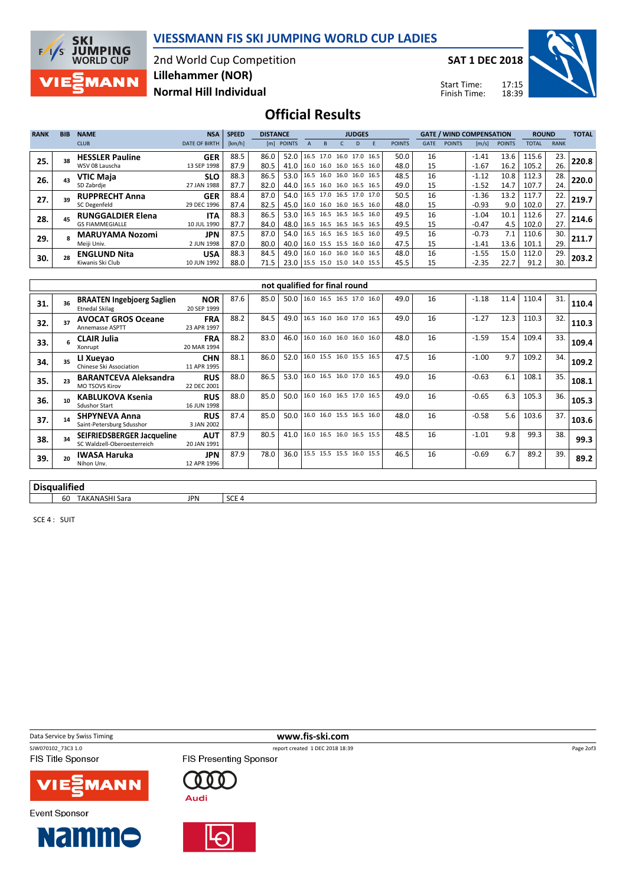



2nd World Cup Competition Normal Hill Individual Lillehammer (NOR)

SAT 1 DEC 2018

Start Time: Finish Time:



## Official Results

| <b>RANK</b> | <b>BIB</b> | <b>NAME</b>              | <b>NSA</b>           | <b>SPEED</b><br><b>DISTANCE</b> |      |                               | <b>JUDGES</b> |                          |  |   |                          |               |             |               | <b>GATE / WIND COMPENSATION</b> |               | <b>ROUND</b> |             | <b>TOTAL</b> |
|-------------|------------|--------------------------|----------------------|---------------------------------|------|-------------------------------|---------------|--------------------------|--|---|--------------------------|---------------|-------------|---------------|---------------------------------|---------------|--------------|-------------|--------------|
|             |            | <b>CLUB</b>              | <b>DATE OF BIRTH</b> | [km/h]                          |      | [m] POINTS                    |               | B                        |  | D |                          | <b>POINTS</b> | <b>GATE</b> | <b>POINTS</b> | $\lfloor m/s \rfloor$           | <b>POINTS</b> | <b>TOTAL</b> | <b>RANK</b> |              |
| 25.         | 38         | <b>HESSLER Pauline</b>   | <b>GER</b>           | 88.5                            | 86.0 | 52.0                          |               |                          |  |   | 16.5 17.0 16.0 17.0 16.5 | 50.0          | 16          |               | $-1.41$                         | 13.6          | 115.6        | 23.         | 220.8        |
|             |            | WSV 08 Lauscha           | 13 SEP 1998          | 87.9                            | 80.5 | 41.0                          |               | 16.0 16.0 16.0 16.5      |  |   | 16.0                     | 48.0          | 15          |               | $-1.67$                         | 16.2          | 105.2        | 26.         |              |
| 26.         |            | VTIC Maia                | <b>SLO</b>           | 88.3                            | 86.5 | 53.0                          |               |                          |  |   | 16.5 16.0 16.0 16.0 16.5 | 48.5          | 16          |               | $-1.12$                         | 10.8          | 112.3        | 28.         | 220.0        |
|             |            | SD Zabrdje               | 27 JAN 1988          | 87.7                            | 82.0 | 44.0                          |               | 16.5 16.0 16.0 16.5 16.5 |  |   |                          | 49.0          | 15          |               | $-1.52$                         | 14.7          | 107.7        | 24.         |              |
| 27.         | 39         | <b>RUPPRECHT Anna</b>    | <b>GER</b>           | 88.4                            | 87.0 | 54.0                          |               |                          |  |   | 16.5 17.0 16.5 17.0 17.0 | 50.5          | 16          |               | $-1.36$                         | 13.2          | 117.7        | 22.         | 219.7        |
|             |            | SC Degenfeld             | 29 DEC 1996          | 87.4                            | 82.5 | 45.0                          |               |                          |  |   | 16.0 16.0 16.0 16.5 16.0 | 48.0          | 15          |               | $-0.93$                         | 9.0           | 102.0        | 27.         |              |
| 28.         |            | <b>RUNGGALDIER Elena</b> | <b>ITA</b>           | 88.3                            | 86.5 | 53.0                          |               |                          |  |   | 16.5 16.5 16.5 16.5 16.0 | 49.5          | 16          |               | $-1.04$                         | 10.1          | 112.6        | 27.         | 214.6        |
|             |            | <b>GS FIAMMEGIALLE</b>   | 10 JUL 1990          | 87.7                            | 84.0 | 48.0 16.5 16.5 16.5 16.5 16.5 |               |                          |  |   |                          | 49.5          | 15          |               | $-0.47$                         | 4.5           | 102.0        | 27.         |              |
| 29.         |            | <b>MARUYAMA Nozomi</b>   | <b>JPN</b>           | 87.5                            | 87.0 | 54.0                          |               | 16.5 16.5 16.5 16.5      |  |   | 16.0                     | 49.5          | 16          |               | $-0.73$                         | 7.1           | 110.6        | 30.         | 211.7        |
|             |            | Meiji Univ.              | 2 JUN 1998           | 87.0                            | 80.0 | 40.0                          |               |                          |  |   | 16.0 15.5 15.5 16.0 16.0 | 47.5          | 15          |               | $-1.41$                         | 13.6          | 101.1        | 29.         |              |
| 30.         |            | <b>ENGLUND Nita</b>      | <b>USA</b>           | 88.3                            | 84.5 | 49.0                          |               | 16.0 16.0 16.0 16.0      |  |   | 16.5                     | 48.0          | 16          |               | $-1.55$                         | 15.0          | 112.0        | 29.         | 203.2        |
|             |            | Kiwanis Ski Club         | 10 JUN 1992          | 88.0                            | 71.5 | 23.0 15.5 15.0 15.0 14.0 15.5 |               |                          |  |   |                          | 45.5          | 15          |               | $-2.35$                         | 22.7          | 91.2         | 30.         |              |

|     | not qualified for final round |                                                                  |                           |      |      |      |                                 |  |  |      |    |         |      |       |     |       |
|-----|-------------------------------|------------------------------------------------------------------|---------------------------|------|------|------|---------------------------------|--|--|------|----|---------|------|-------|-----|-------|
| 31. |                               | <b>BRAATEN Ingebjoerg Saglien</b><br><b>Etnedal Skilag</b>       | <b>NOR</b><br>20 SEP 1999 | 87.6 | 85.0 |      | 50.0 16.0 16.5 16.5 17.0 16.0   |  |  | 49.0 | 16 | $-1.18$ | 11.4 | 110.4 | 31. | 110.4 |
| 32. |                               | <b>AVOCAT GROS Oceane</b><br><b>Annemasse ASPTT</b>              | <b>FRA</b><br>23 APR 1997 | 88.2 | 84.5 |      | 49.0   16.5 16.0 16.0 17.0 16.5 |  |  | 49.0 | 16 | $-1.27$ | 12.3 | 110.3 | 32. | 110.3 |
| 33. |                               | <b>CLAIR Julia</b><br>Xonrupt                                    | <b>FRA</b><br>20 MAR 1994 | 88.2 | 83.0 | 46.0 | 16.0 16.0 16.0 16.0 16.0        |  |  | 48.0 | 16 | $-1.59$ | 15.4 | 109.4 | 33. | 109.4 |
| 34. | 35                            | LI Xueyao<br>Chinese Ski Association                             | <b>CHN</b><br>11 APR 1995 | 88.1 | 86.0 | 52.0 | 16.0 15.5 16.0 15.5 16.5        |  |  | 47.5 | 16 | $-1.00$ | 9.7  | 109.2 | 34. | 109.2 |
| 35. | 23                            | <b>BARANTCEVA Aleksandra</b><br><b>MO TSOVS Kirov</b>            | <b>RUS</b><br>22 DEC 2001 | 88.0 | 86.5 | 53.0 | 16.0 16.5 16.0 17.0 16.5        |  |  | 49.0 | 16 | $-0.63$ | 6.1  | 108.1 | 35. | 108.1 |
| 36. |                               | <b>KABLUKOVA Ksenia</b><br><b>Sdushor Start</b>                  | <b>RUS</b><br>16 JUN 1998 | 88.0 | 85.0 | 50.0 | 16.0 16.0 16.5 17.0 16.5        |  |  | 49.0 | 16 | $-0.65$ | 6.3  | 105.3 | 36. | 105.3 |
| 37. | 14                            | <b>SHPYNEVA Anna</b><br>Saint-Petersburg Sdusshor                | <b>RUS</b><br>3 JAN 2002  | 87.4 | 85.0 | 50.0 | 16.0 16.0 15.5 16.5 16.0        |  |  | 48.0 | 16 | $-0.58$ | 5.6  | 103.6 | 37. | 103.6 |
| 38. |                               | <b>SEIFRIEDSBERGER Jacqueline</b><br>SC Waldzell-Oberoesterreich | <b>AUT</b><br>20 JAN 1991 | 87.9 | 80.5 | 41.0 | 16.0 16.5 16.0 16.5 15.5        |  |  | 48.5 | 16 | $-1.01$ | 9.8  | 99.3  | 38. | 99.3  |
| 39. | 20                            | <b>IWASA Haruka</b><br>Nihon Unv.                                | <b>JPN</b><br>12 APR 1996 | 87.9 | 78.0 |      | 36.0   15.5 15.5 15.5 16.0 15.5 |  |  | 46.5 | 16 | $-0.69$ | 6.7  | 89.2  | 39. | 89.2  |
|     |                               |                                                                  |                           |      |      |      |                                 |  |  |      |    |         |      |       |     |       |

Treport created 1 DEC 2018 18:39

#### Disqualified

60 TAKANASHI Sara JPN SCE 4

SCE 4 : SUIT

Data Service by Swiss Timing **www.fis-ski.com**<br>
SW070102\_73C3\_1.0 **www.fis-ski.com** 

FIS Title Sponsor

**Event Sponsor** 



**Namme** 

**FIS Presenting Sponsor** 000





Page 2of3